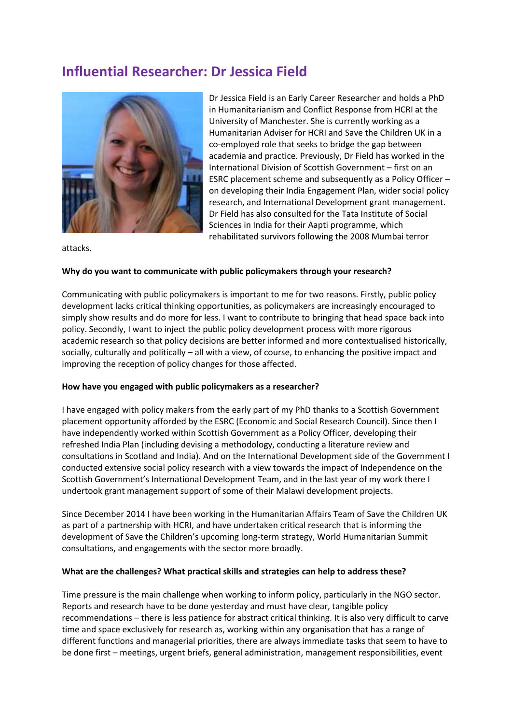# **Influential Researcher: Dr Jessica Field**



Dr Jessica Field is an Early Career Researcher and holds a PhD in Humanitarianism and Conflict Response from HCRI at the University of Manchester. She is currently working as a Humanitarian Adviser for HCRI and Save the Children UK in a co-employed role that seeks to bridge the gap between academia and practice. Previously, Dr Field has worked in the International Division of Scottish Government – first on an ESRC placement scheme and subsequently as a Policy Officer – on developing their India Engagement Plan, wider social policy research, and International Development grant management. Dr Field has also consulted for the Tata Institute of Social Sciences in India for their Aapti programme, which rehabilitated survivors following the 2008 Mumbai terror

attacks.

#### **Why do you want to communicate with public policymakers through your research?**

Communicating with public policymakers is important to me for two reasons. Firstly, public policy development lacks critical thinking opportunities, as policymakers are increasingly encouraged to simply show results and do more for less. I want to contribute to bringing that head space back into policy. Secondly, I want to inject the public policy development process with more rigorous academic research so that policy decisions are better informed and more contextualised historically, socially, culturally and politically – all with a view, of course, to enhancing the positive impact and improving the reception of policy changes for those affected.

#### **How have you engaged with public policymakers as a researcher?**

I have engaged with policy makers from the early part of my PhD thanks to a Scottish Government placement opportunity afforded by the ESRC (Economic and Social Research Council). Since then I have independently worked within Scottish Government as a Policy Officer, developing their refreshed India Plan (including devising a methodology, conducting a literature review and consultations in Scotland and India). And on the International Development side of the Government I conducted extensive social policy research with a view towards the impact of Independence on the Scottish Government's International Development Team, and in the last year of my work there I undertook grant management support of some of their Malawi development projects.

Since December 2014 I have been working in the Humanitarian Affairs Team of Save the Children UK as part of a partnership with HCRI, and have undertaken critical research that is informing the development of Save the Children's upcoming long-term strategy, World Humanitarian Summit consultations, and engagements with the sector more broadly.

### **What are the challenges? What practical skills and strategies can help to address these?**

Time pressure is the main challenge when working to inform policy, particularly in the NGO sector. Reports and research have to be done yesterday and must have clear, tangible policy recommendations – there is less patience for abstract critical thinking. It is also very difficult to carve time and space exclusively for research as, working within any organisation that has a range of different functions and managerial priorities, there are always immediate tasks that seem to have to be done first – meetings, urgent briefs, general administration, management responsibilities, event